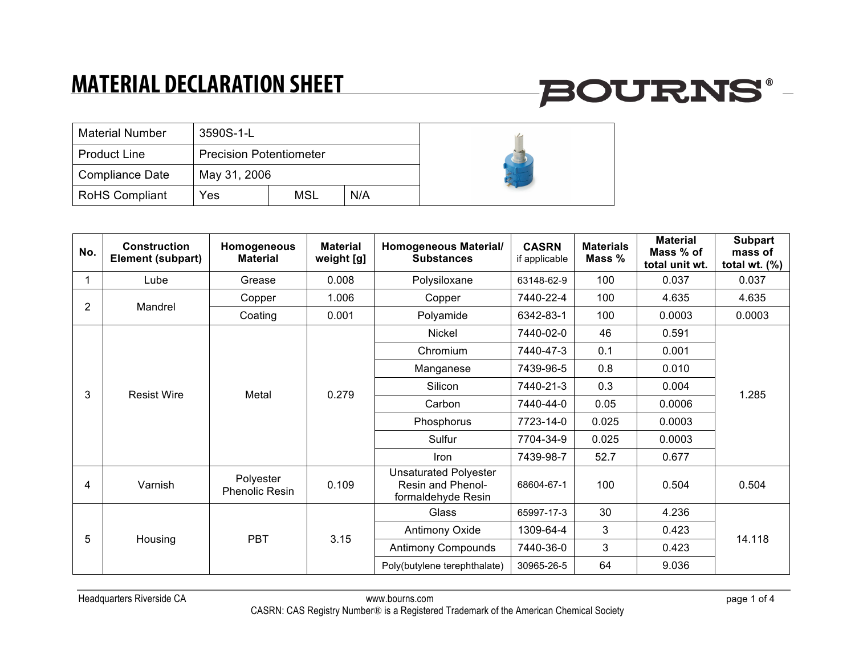| <b>Material Number</b> | 3590S-1-L                      |            |     |  |
|------------------------|--------------------------------|------------|-----|--|
| <b>Product Line</b>    | <b>Precision Potentiometer</b> |            |     |  |
| Compliance Date        | May 31, 2006                   |            |     |  |
| <b>RoHS Compliant</b>  | Yes                            | <b>MSL</b> | N/A |  |

| No.            | <b>Construction</b><br>Element (subpart) | Homogeneous<br><b>Material</b>     | <b>Material</b><br>weight [g] | <b>Homogeneous Material/</b><br><b>Substances</b>                       | <b>CASRN</b><br>if applicable | <b>Materials</b><br>Mass % | <b>Material</b><br>Mass % of<br>total unit wt. | <b>Subpart</b><br>mass of<br>total wt. $(\%)$ |
|----------------|------------------------------------------|------------------------------------|-------------------------------|-------------------------------------------------------------------------|-------------------------------|----------------------------|------------------------------------------------|-----------------------------------------------|
| 1              | Lube                                     | Grease                             | 0.008                         | Polysiloxane                                                            | 63148-62-9                    | 100                        | 0.037                                          | 0.037                                         |
| $\overline{2}$ | Mandrel                                  | Copper                             | 1.006                         | Copper                                                                  | 7440-22-4                     | 100                        | 4.635                                          | 4.635                                         |
|                |                                          | Coating                            | 0.001                         | Polyamide                                                               | 6342-83-1                     | 100                        | 0.0003                                         | 0.0003                                        |
|                |                                          | Metal                              | 0.279                         | Nickel                                                                  | 7440-02-0                     | 46                         | 0.591                                          | 1.285                                         |
|                |                                          |                                    |                               | Chromium                                                                | 7440-47-3                     | 0.1                        | 0.001                                          |                                               |
|                | <b>Resist Wire</b>                       |                                    |                               | Manganese                                                               | 7439-96-5                     | 0.8                        | 0.010                                          |                                               |
|                |                                          |                                    |                               | Silicon                                                                 | 7440-21-3                     | 0.3                        | 0.004                                          |                                               |
| 3              |                                          |                                    |                               | Carbon                                                                  | 7440-44-0                     | 0.05                       | 0.0006                                         |                                               |
|                |                                          |                                    |                               | Phosphorus                                                              | 7723-14-0                     | 0.025                      | 0.0003                                         |                                               |
|                |                                          |                                    |                               | Sulfur                                                                  | 7704-34-9                     | 0.025                      | 0.0003                                         |                                               |
|                |                                          |                                    |                               | Iron                                                                    | 7439-98-7                     | 52.7                       | 0.677                                          |                                               |
| 4              | Varnish                                  | Polyester<br><b>Phenolic Resin</b> | 0.109                         | <b>Unsaturated Polyester</b><br>Resin and Phenol-<br>formaldehyde Resin | 68604-67-1                    | 100                        | 0.504                                          | 0.504                                         |
| 5              | Housing                                  | <b>PBT</b>                         | 3.15                          | Glass                                                                   | 65997-17-3                    | 30                         | 4.236                                          | 14.118                                        |
|                |                                          |                                    |                               | <b>Antimony Oxide</b>                                                   | 1309-64-4                     | 3                          | 0.423                                          |                                               |
|                |                                          |                                    |                               | <b>Antimony Compounds</b>                                               | 7440-36-0                     | 3                          | 0.423                                          |                                               |
|                |                                          |                                    |                               | Poly(butylene terephthalate)                                            | 30965-26-5                    | 64                         | 9.036                                          |                                               |

**BOURNS®-**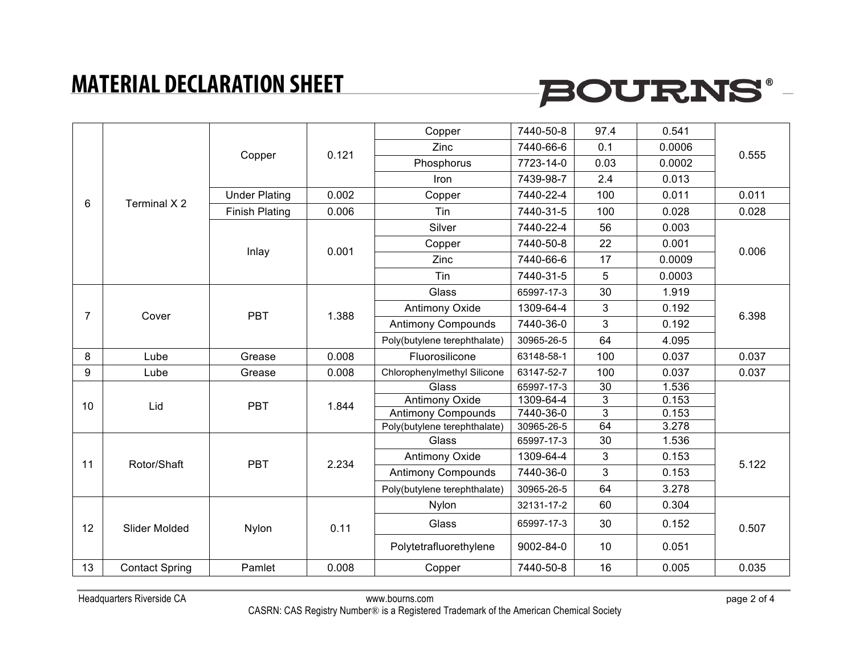# **BOURNS®-**

|                |                       | Copper                | 0.121 | Copper                       | 7440-50-8  | 97.4 | 0.541  | 0.555 |
|----------------|-----------------------|-----------------------|-------|------------------------------|------------|------|--------|-------|
|                |                       |                       |       | Zinc                         | 7440-66-6  | 0.1  | 0.0006 |       |
|                |                       |                       |       | Phosphorus                   | 7723-14-0  | 0.03 | 0.0002 |       |
|                |                       |                       |       | Iron                         | 7439-98-7  | 2.4  | 0.013  |       |
| 6              | Terminal X 2          | <b>Under Plating</b>  | 0.002 | Copper                       | 7440-22-4  | 100  | 0.011  | 0.011 |
|                |                       | <b>Finish Plating</b> | 0.006 | Tin                          | 7440-31-5  | 100  | 0.028  | 0.028 |
|                |                       |                       |       | Silver                       | 7440-22-4  | 56   | 0.003  |       |
|                |                       |                       |       | Copper                       | 7440-50-8  | 22   | 0.001  |       |
|                |                       | Inlay                 | 0.001 | Zinc                         | 7440-66-6  | 17   | 0.0009 | 0.006 |
|                |                       |                       |       | <b>Tin</b>                   | 7440-31-5  | 5    | 0.0003 |       |
|                |                       |                       | 1.388 | Glass                        | 65997-17-3 | 30   | 1.919  | 6.398 |
|                | Cover                 | <b>PBT</b>            |       | <b>Antimony Oxide</b>        | 1309-64-4  | 3    | 0.192  |       |
| $\overline{7}$ |                       |                       |       | <b>Antimony Compounds</b>    | 7440-36-0  | 3    | 0.192  |       |
|                |                       |                       |       | Poly(butylene terephthalate) | 30965-26-5 | 64   | 4.095  |       |
| 8              | Lube                  | Grease                | 0.008 | Fluorosilicone               | 63148-58-1 | 100  | 0.037  | 0.037 |
| 9              | Lube                  | Grease                | 0.008 | Chlorophenylmethyl Silicone  | 63147-52-7 | 100  | 0.037  | 0.037 |
|                | Lid                   | <b>PBT</b>            | 1.844 | Glass                        | 65997-17-3 | 30   | 1.536  |       |
| 10             |                       |                       |       | <b>Antimony Oxide</b>        | 1309-64-4  | 3    | 0.153  |       |
|                |                       |                       |       | <b>Antimony Compounds</b>    | 7440-36-0  | 3    | 0.153  |       |
|                |                       |                       |       | Poly(butylene terephthalate) | 30965-26-5 | 64   | 3.278  |       |
|                |                       | <b>PBT</b>            | 2.234 | Glass                        | 65997-17-3 | 30   | 1.536  | 5.122 |
| 11             | Rotor/Shaft           |                       |       | Antimony Oxide               | 1309-64-4  | 3    | 0.153  |       |
|                |                       |                       |       | <b>Antimony Compounds</b>    | 7440-36-0  | 3    | 0.153  |       |
|                |                       |                       |       | Poly(butylene terephthalate) | 30965-26-5 | 64   | 3.278  |       |
|                | <b>Slider Molded</b>  | Nylon                 | 0.11  | Nylon                        | 32131-17-2 | 60   | 0.304  | 0.507 |
| 12             |                       |                       |       | Glass                        | 65997-17-3 | 30   | 0.152  |       |
|                |                       |                       |       | Polytetrafluorethylene       | 9002-84-0  | 10   | 0.051  |       |
| 13             | <b>Contact Spring</b> | Pamlet                | 0.008 | Copper                       | 7440-50-8  | 16   | 0.005  | 0.035 |
|                |                       |                       |       |                              |            |      |        |       |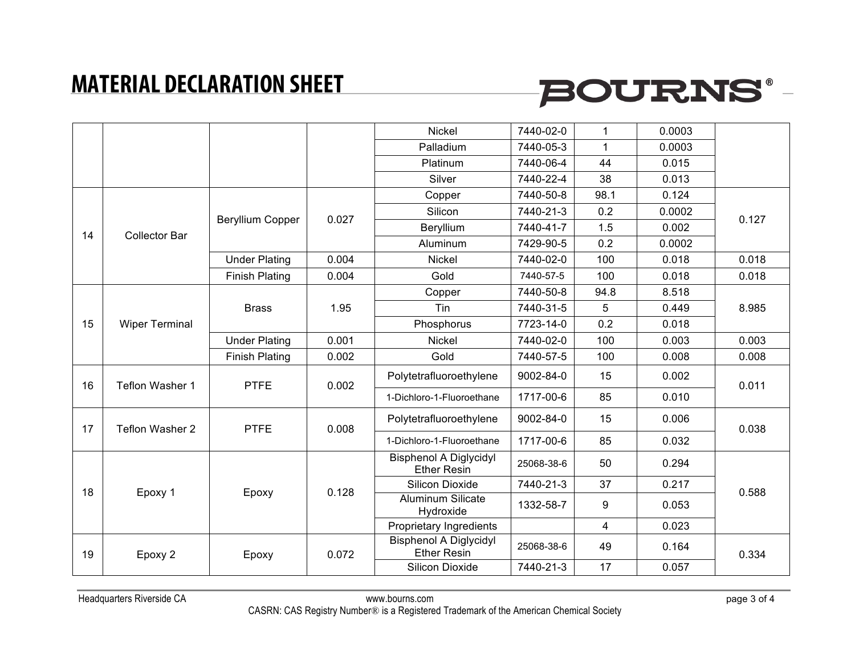

|    |                       |                         |       | Nickel                                              | 7440-02-0  | 1            | 0.0003 |       |
|----|-----------------------|-------------------------|-------|-----------------------------------------------------|------------|--------------|--------|-------|
|    |                       |                         |       | Palladium                                           | 7440-05-3  | $\mathbf{1}$ | 0.0003 |       |
|    |                       |                         |       | Platinum                                            | 7440-06-4  | 44           | 0.015  |       |
|    |                       |                         |       | Silver                                              | 7440-22-4  | 38           | 0.013  |       |
|    |                       | <b>Beryllium Copper</b> |       | Copper                                              | 7440-50-8  | 98.1         | 0.124  | 0.127 |
|    |                       |                         | 0.027 | Silicon                                             | 7440-21-3  | 0.2          | 0.0002 |       |
| 14 |                       |                         |       | Beryllium                                           | 7440-41-7  | 1.5          | 0.002  |       |
|    | Collector Bar         |                         |       | Aluminum                                            | 7429-90-5  | 0.2          | 0.0002 |       |
|    |                       | <b>Under Plating</b>    | 0.004 | <b>Nickel</b>                                       | 7440-02-0  | 100          | 0.018  | 0.018 |
|    |                       | <b>Finish Plating</b>   | 0.004 | Gold                                                | 7440-57-5  | 100          | 0.018  | 0.018 |
|    |                       |                         |       | Copper                                              | 7440-50-8  | 94.8         | 8.518  |       |
|    |                       | <b>Brass</b>            | 1.95  | Tin                                                 | 7440-31-5  | 5            | 0.449  | 8.985 |
| 15 | <b>Wiper Terminal</b> |                         |       | Phosphorus                                          | 7723-14-0  | 0.2          | 0.018  |       |
|    |                       | <b>Under Plating</b>    | 0.001 | <b>Nickel</b>                                       | 7440-02-0  | 100          | 0.003  | 0.003 |
|    |                       | <b>Finish Plating</b>   | 0.002 | Gold                                                | 7440-57-5  | 100          | 0.008  | 0.008 |
| 16 | Teflon Washer 1       | <b>PTFE</b>             | 0.002 | Polytetrafluoroethylene                             | 9002-84-0  | 15           | 0.002  | 0.011 |
|    |                       |                         |       | 1-Dichloro-1-Fluoroethane                           | 1717-00-6  | 85           | 0.010  |       |
| 17 | Teflon Washer 2       | <b>PTFE</b>             | 0.008 | Polytetrafluoroethylene                             | 9002-84-0  | 15           | 0.006  | 0.038 |
|    |                       |                         |       | 1-Dichloro-1-Fluoroethane                           | 1717-00-6  | 85           | 0.032  |       |
|    |                       |                         |       | <b>Bisphenol A Diglycidyl</b><br><b>Ether Resin</b> | 25068-38-6 | 50           | 0.294  |       |
| 18 | Epoxy 1               | Epoxy                   | 0.128 | Silicon Dioxide                                     | 7440-21-3  | 37           | 0.217  | 0.588 |
|    |                       |                         |       | <b>Aluminum Silicate</b><br>Hydroxide               | 1332-58-7  | 9            | 0.053  |       |
|    |                       |                         |       | Proprietary Ingredients                             |            | 4            | 0.023  |       |
| 19 | Epoxy 2               | Epoxy                   | 0.072 | <b>Bisphenol A Diglycidyl</b><br><b>Ether Resin</b> | 25068-38-6 | 49           | 0.164  | 0.334 |
|    |                       |                         |       | Silicon Dioxide                                     | 7440-21-3  | 17           | 0.057  |       |
|    |                       |                         |       |                                                     |            |              |        |       |